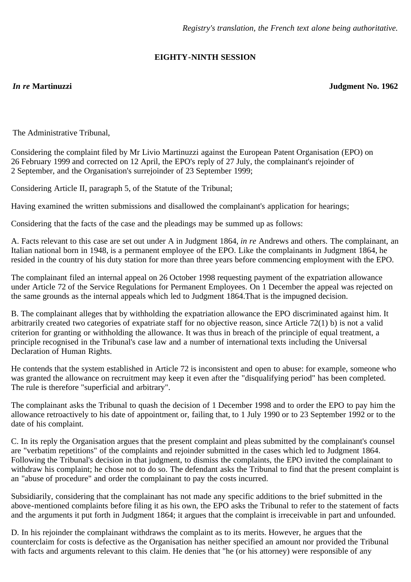## **EIGHTY-NINTH SESSION**

*In re* **Martinuzzi Judgment No. 1962**

The Administrative Tribunal,

Considering the complaint filed by Mr Livio Martinuzzi against the European Patent Organisation (EPO) on 26 February 1999 and corrected on 12 April, the EPO's reply of 27 July, the complainant's rejoinder of 2 September, and the Organisation's surrejoinder of 23 September 1999;

Considering Article II, paragraph 5, of the Statute of the Tribunal;

Having examined the written submissions and disallowed the complainant's application for hearings;

Considering that the facts of the case and the pleadings may be summed up as follows:

A. Facts relevant to this case are set out under A in Judgment 1864, *in re* Andrews and others. The complainant, an Italian national born in 1948, is a permanent employee of the EPO. Like the complainants in Judgment 1864, he resided in the country of his duty station for more than three years before commencing employment with the EPO.

The complainant filed an internal appeal on 26 October 1998 requesting payment of the expatriation allowance under Article 72 of the Service Regulations for Permanent Employees. On 1 December the appeal was rejected on the same grounds as the internal appeals which led to Judgment 1864.That is the impugned decision.

B. The complainant alleges that by withholding the expatriation allowance the EPO discriminated against him. It arbitrarily created two categories of expatriate staff for no objective reason, since Article 72(1) b) is not a valid criterion for granting or withholding the allowance. It was thus in breach of the principle of equal treatment, a principle recognised in the Tribunal's case law and a number of international texts including the Universal Declaration of Human Rights.

He contends that the system established in Article 72 is inconsistent and open to abuse: for example, someone who was granted the allowance on recruitment may keep it even after the "disqualifying period" has been completed. The rule is therefore "superficial and arbitrary".

The complainant asks the Tribunal to quash the decision of 1 December 1998 and to order the EPO to pay him the allowance retroactively to his date of appointment or, failing that, to 1 July 1990 or to 23 September 1992 or to the date of his complaint.

C. In its reply the Organisation argues that the present complaint and pleas submitted by the complainant's counsel are "verbatim repetitions" of the complaints and rejoinder submitted in the cases which led to Judgment 1864. Following the Tribunal's decision in that judgment, to dismiss the complaints, the EPO invited the complainant to withdraw his complaint; he chose not to do so. The defendant asks the Tribunal to find that the present complaint is an "abuse of procedure" and order the complainant to pay the costs incurred.

Subsidiarily, considering that the complainant has not made any specific additions to the brief submitted in the above-mentioned complaints before filing it as his own, the EPO asks the Tribunal to refer to the statement of facts and the arguments it put forth in Judgment 1864; it argues that the complaint is irreceivable in part and unfounded.

D. In his rejoinder the complainant withdraws the complaint as to its merits. However, he argues that the counterclaim for costs is defective as the Organisation has neither specified an amount nor provided the Tribunal with facts and arguments relevant to this claim. He denies that "he (or his attorney) were responsible of any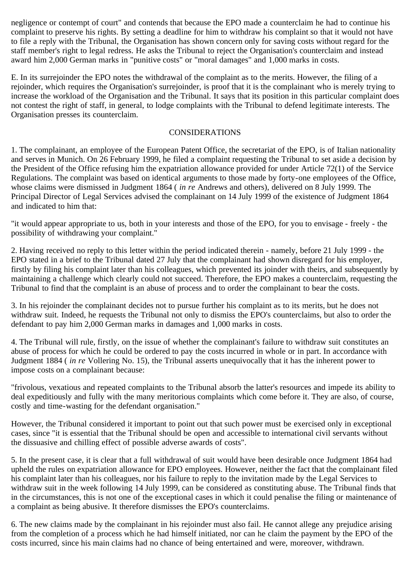negligence or contempt of court" and contends that because the EPO made a counterclaim he had to continue his complaint to preserve his rights. By setting a deadline for him to withdraw his complaint so that it would not have to file a reply with the Tribunal, the Organisation has shown concern only for saving costs without regard for the staff member's right to legal redress. He asks the Tribunal to reject the Organisation's counterclaim and instead award him 2,000 German marks in "punitive costs" or "moral damages" and 1,000 marks in costs.

E. In its surrejoinder the EPO notes the withdrawal of the complaint as to the merits. However, the filing of a rejoinder, which requires the Organisation's surrejoinder, is proof that it is the complainant who is merely trying to increase the workload of the Organisation and the Tribunal. It says that its position in this particular complaint does not contest the right of staff, in general, to lodge complaints with the Tribunal to defend legitimate interests. The Organisation presses its counterclaim.

## CONSIDERATIONS

1. The complainant, an employee of the European Patent Office, the secretariat of the EPO, is of Italian nationality and serves in Munich. On 26 February 1999, he filed a complaint requesting the Tribunal to set aside a decision by the President of the Office refusing him the expatriation allowance provided for under Article 72(1) of the Service Regulations. The complaint was based on identical arguments to those made by forty-one employees of the Office, whose claims were dismissed in Judgment 1864 ( *in re* Andrews and others), delivered on 8 July 1999. The Principal Director of Legal Services advised the complainant on 14 July 1999 of the existence of Judgment 1864 and indicated to him that:

"it would appear appropriate to us, both in your interests and those of the EPO, for you to envisage - freely - the possibility of withdrawing your complaint."

2. Having received no reply to this letter within the period indicated therein - namely, before 21 July 1999 - the EPO stated in a brief to the Tribunal dated 27 July that the complainant had shown disregard for his employer, firstly by filing his complaint later than his colleagues, which prevented its joinder with theirs, and subsequently by maintaining a challenge which clearly could not succeed. Therefore, the EPO makes a counterclaim, requesting the Tribunal to find that the complaint is an abuse of process and to order the complainant to bear the costs.

3. In his rejoinder the complainant decides not to pursue further his complaint as to its merits, but he does not withdraw suit. Indeed, he requests the Tribunal not only to dismiss the EPO's counterclaims, but also to order the defendant to pay him 2,000 German marks in damages and 1,000 marks in costs.

4. The Tribunal will rule, firstly, on the issue of whether the complainant's failure to withdraw suit constitutes an abuse of process for which he could be ordered to pay the costs incurred in whole or in part. In accordance with Judgment 1884 ( *in re* Vollering No. 15), the Tribunal asserts unequivocally that it has the inherent power to impose costs on a complainant because:

"frivolous, vexatious and repeated complaints to the Tribunal absorb the latter's resources and impede its ability to deal expeditiously and fully with the many meritorious complaints which come before it. They are also, of course, costly and time-wasting for the defendant organisation."

However, the Tribunal considered it important to point out that such power must be exercised only in exceptional cases, since "it is essential that the Tribunal should be open and accessible to international civil servants without the dissuasive and chilling effect of possible adverse awards of costs".

5. In the present case, it is clear that a full withdrawal of suit would have been desirable once Judgment 1864 had upheld the rules on expatriation allowance for EPO employees. However, neither the fact that the complainant filed his complaint later than his colleagues, nor his failure to reply to the invitation made by the Legal Services to withdraw suit in the week following 14 July 1999, can be considered as constituting abuse. The Tribunal finds that in the circumstances, this is not one of the exceptional cases in which it could penalise the filing or maintenance of a complaint as being abusive. It therefore dismisses the EPO's counterclaims.

6. The new claims made by the complainant in his rejoinder must also fail. He cannot allege any prejudice arising from the completion of a process which he had himself initiated, nor can he claim the payment by the EPO of the costs incurred, since his main claims had no chance of being entertained and were, moreover, withdrawn.